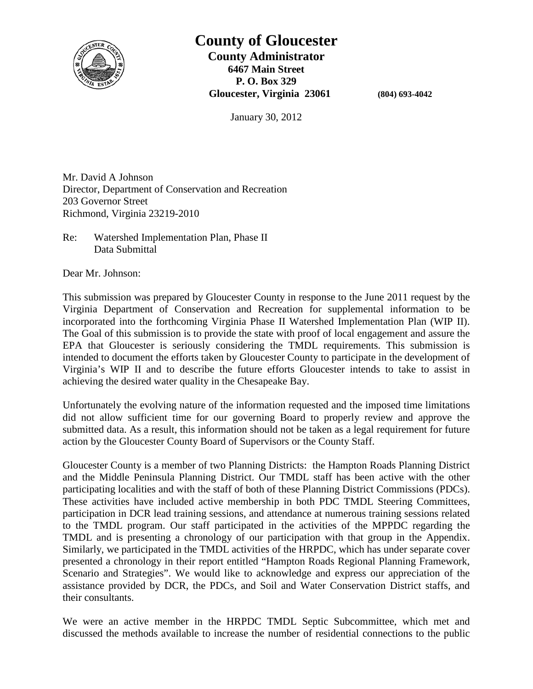

# **County of Gloucester**

**County Administrator 6467 Main Street P. O. Box 329 Gloucester, Virginia 23061 (804) 693-4042**

January 30, 2012

Mr. David A Johnson Director, Department of Conservation and Recreation 203 Governor Street Richmond, Virginia 23219-2010

Re: Watershed Implementation Plan, Phase II Data Submittal

Dear Mr. Johnson:

This submission was prepared by Gloucester County in response to the June 2011 request by the Virginia Department of Conservation and Recreation for supplemental information to be incorporated into the forthcoming Virginia Phase II Watershed Implementation Plan (WIP II). The Goal of this submission is to provide the state with proof of local engagement and assure the EPA that Gloucester is seriously considering the TMDL requirements. This submission is intended to document the efforts taken by Gloucester County to participate in the development of Virginia's WIP II and to describe the future efforts Gloucester intends to take to assist in achieving the desired water quality in the Chesapeake Bay.

Unfortunately the evolving nature of the information requested and the imposed time limitations did not allow sufficient time for our governing Board to properly review and approve the submitted data. As a result, this information should not be taken as a legal requirement for future action by the Gloucester County Board of Supervisors or the County Staff.

Gloucester County is a member of two Planning Districts: the Hampton Roads Planning District and the Middle Peninsula Planning District. Our TMDL staff has been active with the other participating localities and with the staff of both of these Planning District Commissions (PDCs). These activities have included active membership in both PDC TMDL Steering Committees, participation in DCR lead training sessions, and attendance at numerous training sessions related to the TMDL program. Our staff participated in the activities of the MPPDC regarding the TMDL and is presenting a chronology of our participation with that group in the Appendix. Similarly, we participated in the TMDL activities of the HRPDC, which has under separate cover presented a chronology in their report entitled "Hampton Roads Regional Planning Framework, Scenario and Strategies". We would like to acknowledge and express our appreciation of the assistance provided by DCR, the PDCs, and Soil and Water Conservation District staffs, and their consultants.

We were an active member in the HRPDC TMDL Septic Subcommittee, which met and discussed the methods available to increase the number of residential connections to the public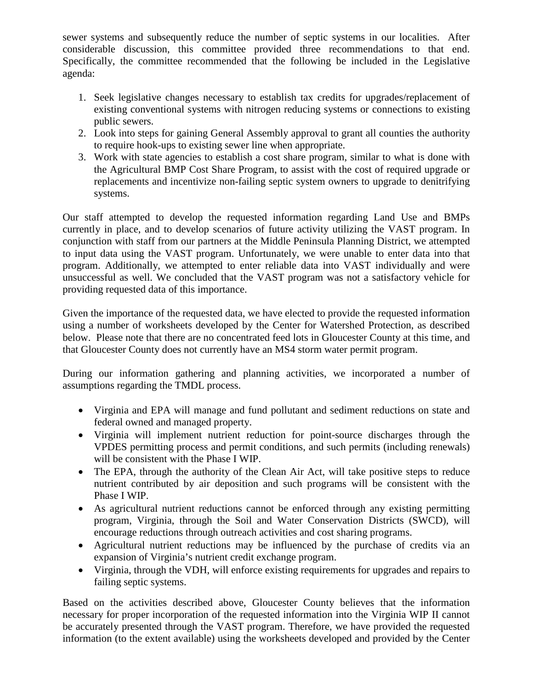sewer systems and subsequently reduce the number of septic systems in our localities. After considerable discussion, this committee provided three recommendations to that end. Specifically, the committee recommended that the following be included in the Legislative agenda:

- 1. Seek legislative changes necessary to establish tax credits for upgrades/replacement of existing conventional systems with nitrogen reducing systems or connections to existing public sewers.
- 2. Look into steps for gaining General Assembly approval to grant all counties the authority to require hook-ups to existing sewer line when appropriate.
- 3. Work with state agencies to establish a cost share program, similar to what is done with the Agricultural BMP Cost Share Program, to assist with the cost of required upgrade or replacements and incentivize non-failing septic system owners to upgrade to denitrifying systems.

Our staff attempted to develop the requested information regarding Land Use and BMPs currently in place, and to develop scenarios of future activity utilizing the VAST program. In conjunction with staff from our partners at the Middle Peninsula Planning District, we attempted to input data using the VAST program. Unfortunately, we were unable to enter data into that program. Additionally, we attempted to enter reliable data into VAST individually and were unsuccessful as well. We concluded that the VAST program was not a satisfactory vehicle for providing requested data of this importance.

Given the importance of the requested data, we have elected to provide the requested information using a number of worksheets developed by the Center for Watershed Protection, as described below. Please note that there are no concentrated feed lots in Gloucester County at this time, and that Gloucester County does not currently have an MS4 storm water permit program.

During our information gathering and planning activities, we incorporated a number of assumptions regarding the TMDL process.

- Virginia and EPA will manage and fund pollutant and sediment reductions on state and federal owned and managed property.
- Virginia will implement nutrient reduction for point-source discharges through the VPDES permitting process and permit conditions, and such permits (including renewals) will be consistent with the Phase I WIP.
- The EPA, through the authority of the Clean Air Act, will take positive steps to reduce nutrient contributed by air deposition and such programs will be consistent with the Phase I WIP.
- As agricultural nutrient reductions cannot be enforced through any existing permitting program, Virginia, through the Soil and Water Conservation Districts (SWCD), will encourage reductions through outreach activities and cost sharing programs.
- Agricultural nutrient reductions may be influenced by the purchase of credits via an expansion of Virginia's nutrient credit exchange program.
- Virginia, through the VDH, will enforce existing requirements for upgrades and repairs to failing septic systems.

Based on the activities described above, Gloucester County believes that the information necessary for proper incorporation of the requested information into the Virginia WIP II cannot be accurately presented through the VAST program. Therefore, we have provided the requested information (to the extent available) using the worksheets developed and provided by the Center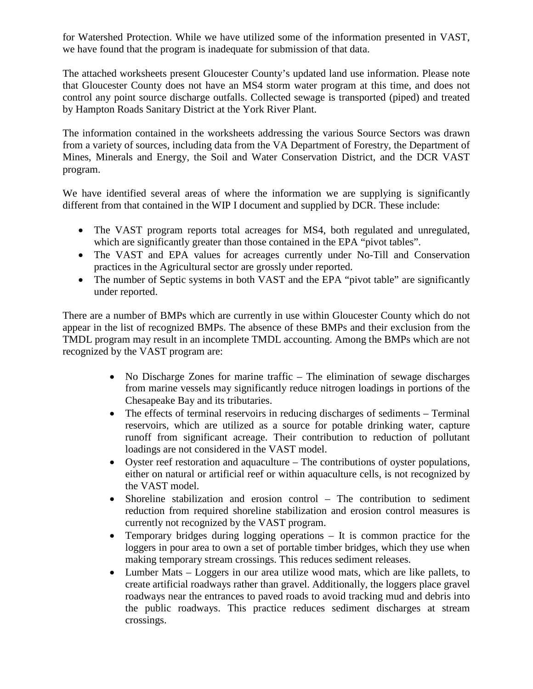for Watershed Protection. While we have utilized some of the information presented in VAST, we have found that the program is inadequate for submission of that data.

The attached worksheets present Gloucester County's updated land use information. Please note that Gloucester County does not have an MS4 storm water program at this time, and does not control any point source discharge outfalls. Collected sewage is transported (piped) and treated by Hampton Roads Sanitary District at the York River Plant.

The information contained in the worksheets addressing the various Source Sectors was drawn from a variety of sources, including data from the VA Department of Forestry, the Department of Mines, Minerals and Energy, the Soil and Water Conservation District, and the DCR VAST program.

We have identified several areas of where the information we are supplying is significantly different from that contained in the WIP I document and supplied by DCR. These include:

- The VAST program reports total acreages for MS4, both regulated and unregulated, which are significantly greater than those contained in the EPA "pivot tables".
- The VAST and EPA values for acreages currently under No-Till and Conservation practices in the Agricultural sector are grossly under reported.
- The number of Septic systems in both VAST and the EPA "pivot table" are significantly under reported.

There are a number of BMPs which are currently in use within Gloucester County which do not appear in the list of recognized BMPs. The absence of these BMPs and their exclusion from the TMDL program may result in an incomplete TMDL accounting. Among the BMPs which are not recognized by the VAST program are:

- No Discharge Zones for marine traffic The elimination of sewage discharges from marine vessels may significantly reduce nitrogen loadings in portions of the Chesapeake Bay and its tributaries.
- The effects of terminal reservoirs in reducing discharges of sediments Terminal reservoirs, which are utilized as a source for potable drinking water, capture runoff from significant acreage. Their contribution to reduction of pollutant loadings are not considered in the VAST model.
- Oyster reef restoration and aquaculture The contributions of oyster populations, either on natural or artificial reef or within aquaculture cells, is not recognized by the VAST model.
- Shoreline stabilization and erosion control The contribution to sediment reduction from required shoreline stabilization and erosion control measures is currently not recognized by the VAST program.
- Temporary bridges during logging operations It is common practice for the loggers in pour area to own a set of portable timber bridges, which they use when making temporary stream crossings. This reduces sediment releases.
- Lumber Mats Loggers in our area utilize wood mats, which are like pallets, to create artificial roadways rather than gravel. Additionally, the loggers place gravel roadways near the entrances to paved roads to avoid tracking mud and debris into the public roadways. This practice reduces sediment discharges at stream crossings.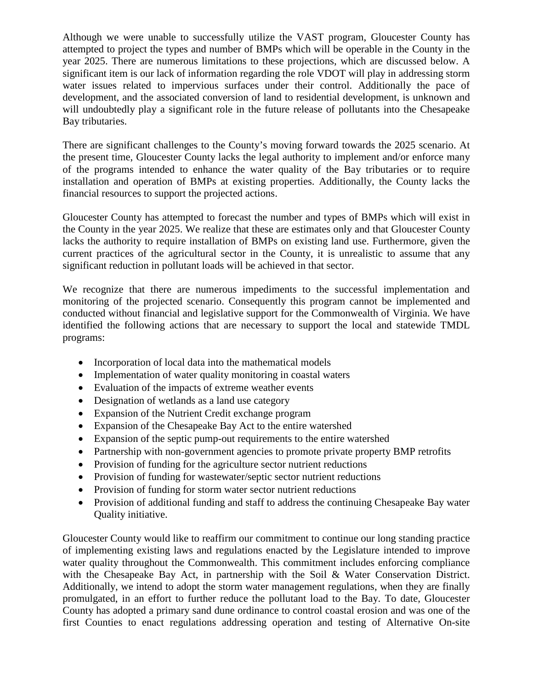Although we were unable to successfully utilize the VAST program, Gloucester County has attempted to project the types and number of BMPs which will be operable in the County in the year 2025. There are numerous limitations to these projections, which are discussed below. A significant item is our lack of information regarding the role VDOT will play in addressing storm water issues related to impervious surfaces under their control. Additionally the pace of development, and the associated conversion of land to residential development, is unknown and will undoubtedly play a significant role in the future release of pollutants into the Chesapeake Bay tributaries.

There are significant challenges to the County's moving forward towards the 2025 scenario. At the present time, Gloucester County lacks the legal authority to implement and/or enforce many of the programs intended to enhance the water quality of the Bay tributaries or to require installation and operation of BMPs at existing properties. Additionally, the County lacks the financial resources to support the projected actions.

Gloucester County has attempted to forecast the number and types of BMPs which will exist in the County in the year 2025. We realize that these are estimates only and that Gloucester County lacks the authority to require installation of BMPs on existing land use. Furthermore, given the current practices of the agricultural sector in the County, it is unrealistic to assume that any significant reduction in pollutant loads will be achieved in that sector.

We recognize that there are numerous impediments to the successful implementation and monitoring of the projected scenario. Consequently this program cannot be implemented and conducted without financial and legislative support for the Commonwealth of Virginia. We have identified the following actions that are necessary to support the local and statewide TMDL programs:

- Incorporation of local data into the mathematical models
- Implementation of water quality monitoring in coastal waters
- Evaluation of the impacts of extreme weather events
- Designation of wetlands as a land use category
- Expansion of the Nutrient Credit exchange program
- Expansion of the Chesapeake Bay Act to the entire watershed
- Expansion of the septic pump-out requirements to the entire watershed
- Partnership with non-government agencies to promote private property BMP retrofits
- Provision of funding for the agriculture sector nutrient reductions
- Provision of funding for wastewater/septic sector nutrient reductions
- Provision of funding for storm water sector nutrient reductions
- Provision of additional funding and staff to address the continuing Chesapeake Bay water Quality initiative.

Gloucester County would like to reaffirm our commitment to continue our long standing practice of implementing existing laws and regulations enacted by the Legislature intended to improve water quality throughout the Commonwealth. This commitment includes enforcing compliance with the Chesapeake Bay Act, in partnership with the Soil & Water Conservation District. Additionally, we intend to adopt the storm water management regulations, when they are finally promulgated, in an effort to further reduce the pollutant load to the Bay. To date, Gloucester County has adopted a primary sand dune ordinance to control coastal erosion and was one of the first Counties to enact regulations addressing operation and testing of Alternative On-site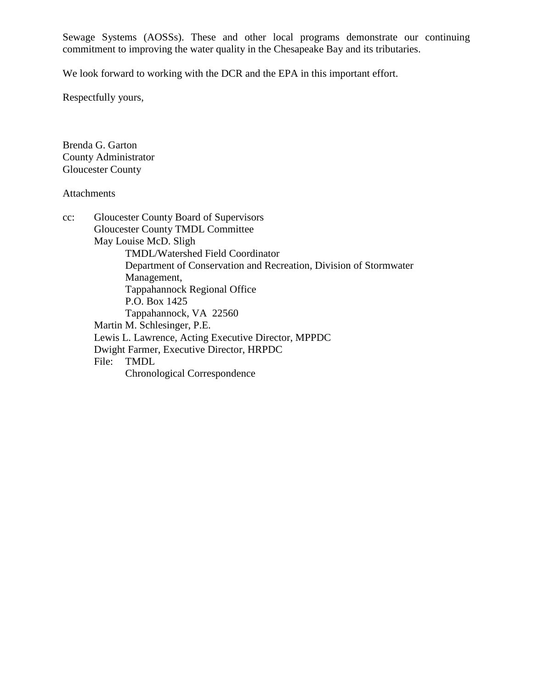Sewage Systems (AOSSs). These and other local programs demonstrate our continuing commitment to improving the water quality in the Chesapeake Bay and its tributaries.

We look forward to working with the DCR and the EPA in this important effort.

Respectfully yours,

Brenda G. Garton County Administrator Gloucester County

### Attachments

| $cc$ : | Gloucester County Board of Supervisors                            |
|--------|-------------------------------------------------------------------|
|        | <b>Gloucester County TMDL Committee</b>                           |
|        | May Louise McD. Sligh                                             |
|        | <b>TMDL/Watershed Field Coordinator</b>                           |
|        | Department of Conservation and Recreation, Division of Stormwater |
|        | Management,                                                       |
|        | <b>Tappahannock Regional Office</b>                               |
|        | P.O. Box 1425                                                     |
|        | Tappahannock, VA 22560                                            |
|        | Martin M. Schlesinger, P.E.                                       |
|        | Lewis L. Lawrence, Acting Executive Director, MPPDC               |
|        | Dwight Farmer, Executive Director, HRPDC                          |
|        | <b>TMDL</b><br>File:                                              |
|        | Chronological Correspondence                                      |
|        |                                                                   |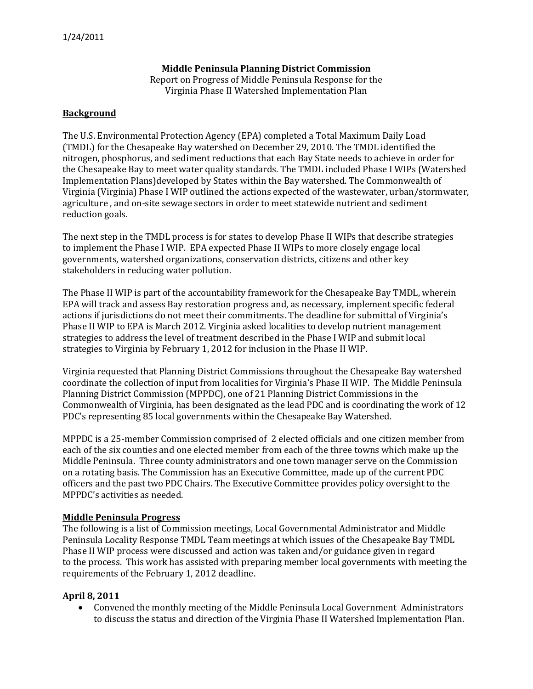#### **Middle Peninsula Planning District Commission**

Report on Progress of Middle Peninsula Response for the Virginia Phase II Watershed Implementation Plan

#### **Background**

The U.S. Environmental Protection Agency (EPA) completed a Total Maximum Daily Load (TMDL) for the Chesapeake Bay watershed on December 29, 2010. The TMDL identified the nitrogen, phosphorus, and sediment reductions that each Bay State needs to achieve in order for the Chesapeake Bay to meet water quality standards. The TMDL included Phase I WIPs (Watershed Implementation Plans)developed by States within the Bay watershed. The Commonwealth of Virginia (Virginia) Phase I WIP outlined the actions expected of the wastewater, urban/stormwater, agriculture , and on-site sewage sectors in order to meet statewide nutrient and sediment reduction goals.

The next step in the TMDL process is for states to develop Phase II WIPs that describe strategies to implement the Phase I WIP. EPA expected Phase II WIPs to more closely engage local governments, watershed organizations, conservation districts, citizens and other key stakeholders in reducing water pollution.

The Phase II WIP is part of the accountability framework for the Chesapeake Bay TMDL, wherein EPA will track and assess Bay restoration progress and, as necessary, implement specific federal actions if jurisdictions do not meet their commitments. The deadline for submittal of Virginia's Phase II WIP to EPA is March 2012. Virginia asked localities to develop nutrient management strategies to address the level of treatment described in the Phase I WIP and submit local strategies to Virginia by February 1, 2012 for inclusion in the Phase II WIP.

Virginia requested that Planning District Commissions throughout the Chesapeake Bay watershed coordinate the collection of input from localities for Virginia's Phase II WIP. The Middle Peninsula Planning District Commission (MPPDC), one of 21 Planning District Commissions in the Commonwealth of Virginia, has been designated as the lead PDC and is coordinating the work of 12 PDC's representing 85 local governments within the Chesapeake Bay Watershed.

MPPDC is a 25-member Commission comprised of 2 elected officials and one citizen member from each of the six counties and one elected member from each of the three towns which make up the Middle Peninsula. Three county administrators and one town manager serve on the Commission on a rotating basis. The Commission has an Executive Committee, made up of the current PDC officers and the past two PDC Chairs. The Executive Committee provides policy oversight to the MPPDC's activities as needed.

#### **Middle Peninsula Progress**

The following is a list of Commission meetings, Local Governmental Administrator and Middle Peninsula Locality Response TMDL Team meetings at which issues of the Chesapeake Bay TMDL Phase II WIP process were discussed and action was taken and/or guidance given in regard to the process. This work has assisted with preparing member local governments with meeting the requirements of the February 1, 2012 deadline.

#### **April 8, 2011**

• Convened the monthly meeting of the Middle Peninsula Local Government Administrators to discuss the status and direction of the Virginia Phase II Watershed Implementation Plan.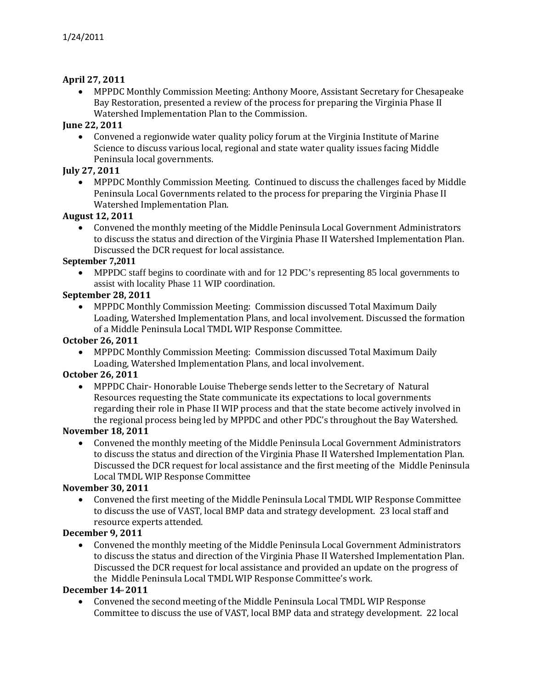#### **April 27, 2011**

• MPPDC Monthly Commission Meeting: Anthony Moore, Assistant Secretary for Chesapeake Bay Restoration, presented a review of the process for preparing the Virginia Phase II Watershed Implementation Plan to the Commission.

#### **June 22, 2011**

• Convened a regionwide water quality policy forum at the Virginia Institute of Marine Science to discuss various local, regional and state water quality issues facing Middle Peninsula local governments.

#### **July 27, 2011**

• MPPDC Monthly Commission Meeting. Continued to discuss the challenges faced by Middle Peninsula Local Governments related to the process for preparing the Virginia Phase II Watershed Implementation Plan.

#### **August 12, 2011**

• Convened the monthly meeting of the Middle Peninsula Local Government Administrators to discuss the status and direction of the Virginia Phase II Watershed Implementation Plan. Discussed the DCR request for local assistance.

#### **September 7,2011**

• MPPDC staff begins to coordinate with and for 12 PDC's representing 85 local governments to assist with locality Phase 11 WIP coordination.

#### **September 28, 2011**

• MPPDC Monthly Commission Meeting: Commission discussed Total Maximum Daily Loading, Watershed Implementation Plans, and local involvement. Discussed the formation of a Middle Peninsula Local TMDL WIP Response Committee.

#### **October 26, 2011**

• MPPDC Monthly Commission Meeting: Commission discussed Total Maximum Daily Loading, Watershed Implementation Plans, and local involvement.

#### **October 26, 2011**

• MPPDC Chair- Honorable Louise Theberge sends letter to the Secretary of Natural Resources requesting the State communicate its expectations to local governments regarding their role in Phase II WIP process and that the state become actively involved in the regional process being led by MPPDC and other PDC's throughout the Bay Watershed.

#### **November 18, 2011**

• Convened the monthly meeting of the Middle Peninsula Local Government Administrators to discuss the status and direction of the Virginia Phase II Watershed Implementation Plan. Discussed the DCR request for local assistance and the first meeting of the Middle Peninsula Local TMDL WIP Response Committee

#### **November 30, 2011**

• Convened the first meeting of the Middle Peninsula Local TMDL WIP Response Committee to discuss the use of VAST, local BMP data and strategy development. 23 local staff and resource experts attended.

#### **December 9, 2011**

• Convened the monthly meeting of the Middle Peninsula Local Government Administrators to discuss the status and direction of the Virginia Phase II Watershed Implementation Plan. Discussed the DCR request for local assistance and provided an update on the progress of the Middle Peninsula Local TMDL WIP Response Committee's work.

#### **December 14,, 2011**

• Convened the second meeting of the Middle Peninsula Local TMDL WIP Response Committee to discuss the use of VAST, local BMP data and strategy development. 22 local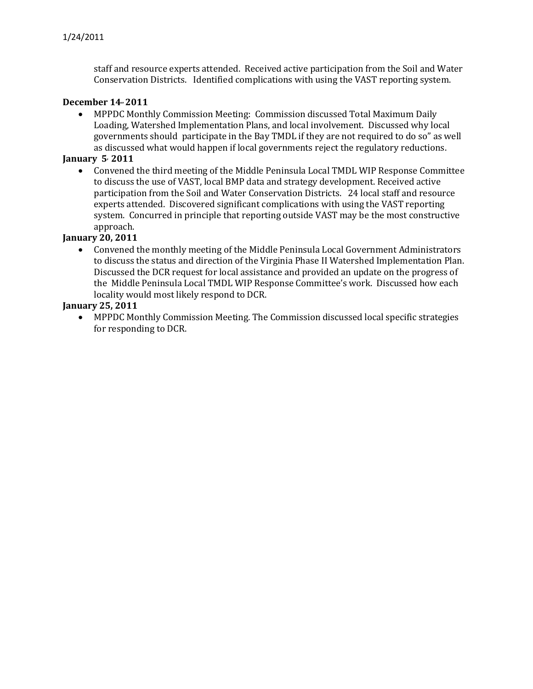staff and resource experts attended. Received active participation from the Soil and Water Conservation Districts. Identified complications with using the VAST reporting system.

#### **December 14,, 2011**

• MPPDC Monthly Commission Meeting: Commission discussed Total Maximum Daily Loading, Watershed Implementation Plans, and local involvement. Discussed why local governments should participate in the Bay TMDL if they are not required to do so" as well as discussed what would happen if local governments reject the regulatory reductions.

#### **January 5, 2011**

• Convened the third meeting of the Middle Peninsula Local TMDL WIP Response Committee to discuss the use of VAST, local BMP data and strategy development. Received active participation from the Soil and Water Conservation Districts. 24 local staff and resource experts attended. Discovered significant complications with using the VAST reporting system. Concurred in principle that reporting outside VAST may be the most constructive approach.

#### **January 20, 2011**

• Convened the monthly meeting of the Middle Peninsula Local Government Administrators to discuss the status and direction of the Virginia Phase II Watershed Implementation Plan. Discussed the DCR request for local assistance and provided an update on the progress of the Middle Peninsula Local TMDL WIP Response Committee's work. Discussed how each locality would most likely respond to DCR.

#### **January 25, 2011**

• MPPDC Monthly Commission Meeting. The Commission discussed local specific strategies for responding to DCR.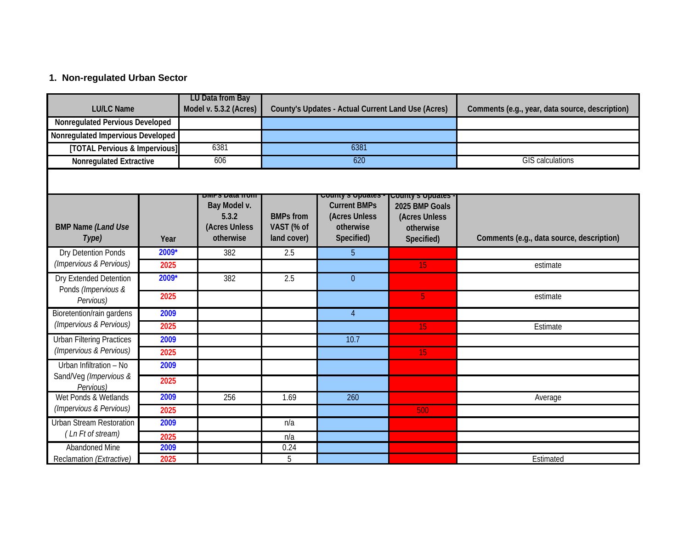## **1. Non-regulated Urban Sector**

| <b>LU/LC Name</b>                               |       | LU Data from Bay<br>Model v. 5.3.2 (Acres)          | County's Updates - Actual Current Land Use (Acres) |                                                                 |                                                                                | Comments (e.g., year, data source, description) |  |  |  |
|-------------------------------------------------|-------|-----------------------------------------------------|----------------------------------------------------|-----------------------------------------------------------------|--------------------------------------------------------------------------------|-------------------------------------------------|--|--|--|
| Nonregulated Pervious Developed                 |       |                                                     |                                                    |                                                                 |                                                                                |                                                 |  |  |  |
| Nonregulated Impervious Developed               |       |                                                     |                                                    |                                                                 |                                                                                |                                                 |  |  |  |
| [TOTAL Pervious & Impervious]                   |       | 6381                                                | 6381                                               |                                                                 |                                                                                |                                                 |  |  |  |
| <b>Nonregulated Extractive</b>                  |       | 606                                                 | 620                                                |                                                                 |                                                                                | <b>GIS calculations</b>                         |  |  |  |
| County's opuates<br><b>DIVILES DATA IL QUIL</b> |       |                                                     |                                                    |                                                                 |                                                                                |                                                 |  |  |  |
| <b>BMP Name (Land Use</b><br>Type)              | Year  | Bay Model v.<br>5.3.2<br>(Acres Unless<br>otherwise | <b>BMPs from</b><br>VAST (% of<br>land cover)      | <b>Current BMPs</b><br>(Acres Unless<br>otherwise<br>Specified) | County's Opuates<br>2025 BMP Goals<br>(Acres Unless<br>otherwise<br>Specified) | Comments (e.g., data source, description)       |  |  |  |
| Dry Detention Ponds                             | 2009* | 382                                                 | 2.5                                                | 5                                                               |                                                                                |                                                 |  |  |  |
| (Impervious & Pervious)                         | 2025  |                                                     |                                                    |                                                                 | 15                                                                             | estimate                                        |  |  |  |
| Dry Extended Detention<br>Ponds (Impervious &   | 2009* | 382                                                 | 2.5                                                | $\theta$                                                        |                                                                                |                                                 |  |  |  |
| Pervious)                                       | 2025  |                                                     |                                                    |                                                                 | 5 <sup>1</sup>                                                                 | estimate                                        |  |  |  |
| Bioretention/rain gardens                       | 2009  |                                                     |                                                    | $\overline{4}$                                                  |                                                                                |                                                 |  |  |  |
| (Impervious & Pervious)                         | 2025  |                                                     |                                                    |                                                                 | 15                                                                             | Estimate                                        |  |  |  |
| <b>Urban Filtering Practices</b>                | 2009  |                                                     |                                                    | 10.7                                                            |                                                                                |                                                 |  |  |  |
| (Impervious & Pervious)                         | 2025  |                                                     |                                                    |                                                                 | 15                                                                             |                                                 |  |  |  |
| Urban Infiltration - No                         | 2009  |                                                     |                                                    |                                                                 |                                                                                |                                                 |  |  |  |
| Sand/Veg (Impervious &<br>Pervious)             | 2025  |                                                     |                                                    |                                                                 |                                                                                |                                                 |  |  |  |
| Wet Ponds & Wetlands                            | 2009  | 256                                                 | 1.69                                               | 260                                                             |                                                                                | Average                                         |  |  |  |
| (Impervious & Pervious)                         | 2025  |                                                     |                                                    |                                                                 | 500                                                                            |                                                 |  |  |  |
| <b>Urban Stream Restoration</b>                 | 2009  |                                                     | n/a                                                |                                                                 |                                                                                |                                                 |  |  |  |
| (Ln Ft of stream)                               | 2025  |                                                     | n/a                                                |                                                                 |                                                                                |                                                 |  |  |  |
| <b>Abandoned Mine</b>                           | 2009  |                                                     | 0.24                                               |                                                                 |                                                                                |                                                 |  |  |  |
| Reclamation (Extractive)                        | 2025  |                                                     | 5                                                  |                                                                 |                                                                                | Estimated                                       |  |  |  |